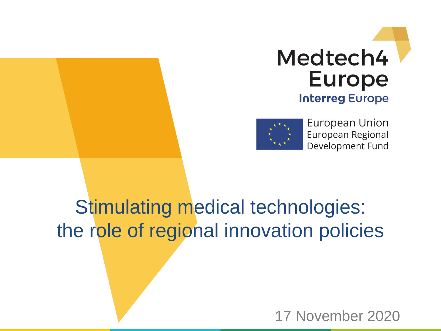



European Union European Regional Development Fund

### Stimulating medical technologies: the role of regional innovation policies

17 November 2020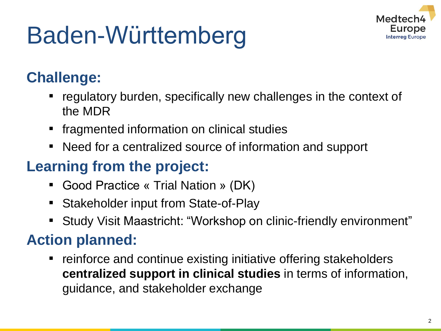## Baden-Württemberg



### **Challenge:**

- regulatory burden, specifically new challenges in the context of the MDR
- **•** fragmented information on clinical studies
- Need for a centralized source of information and support

### **Learning from the project:**

- Good Practice « Trial Nation » (DK)
- Stakeholder input from State-of-Play
- Study Visit Maastricht: "Workshop on clinic-friendly environment"

### **Action planned:**

■ reinforce and continue existing initiative offering stakeholders **centralized support in clinical studies** in terms of information, guidance, and stakeholder exchange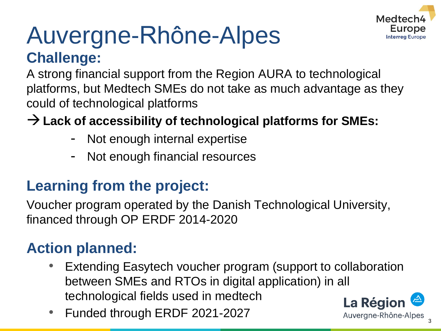

### Auvergne-Rhône-Alpes **Challenge:**

A strong financial support from the Region AURA to technological platforms, but Medtech SMEs do not take as much advantage as they could of technological platforms

**Lack of accessibility of technological platforms for SMEs:**

- Not enough internal expertise
- Not enough financial resources

#### **Learning from the project:**

Voucher program operated by the Danish Technological University, financed through OP ERDF 2014-2020

### **Action planned:**

- Extending Easytech voucher program (support to collaboration between SMEs and RTOs in digital application) in all technological fields used in medtech
- Funded through ERDF 2021-2027



3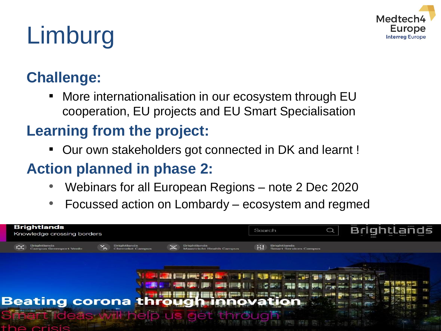

# Limburg

### **Challenge:**

■ More internationalisation in our ecosystem through EU cooperation, EU projects and EU Smart Specialisation

### **Learning from the project:**

▪ Our own stakeholders got connected in DK and learnt !

### **Action planned in phase 2:**

- Webinars for all European Regions note 2 Dec 2020
- Focussed action on Lombardy ecosystem and regmed

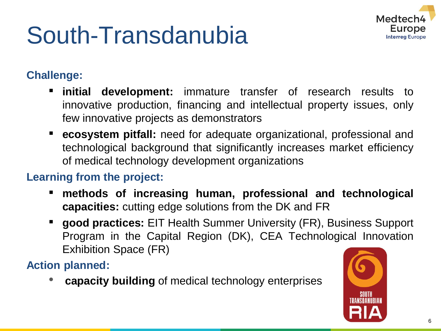## South-Transdanubia



#### **Challenge:**

- **initial development:** immature transfer of research results to innovative production, financing and intellectual property issues, only few innovative projects as demonstrators
- **ecosystem pitfall:** need for adequate organizational, professional and technological background that significantly increases market efficiency of medical technology development organizations

#### **Learning from the project:**

- **methods of increasing human, professional and technological capacities:** cutting edge solutions from the DK and FR
- **good practices:** EIT Health Summer University (FR), Business Support Program in the Capital Region (DK), CEA Technological Innovation Exhibition Space (FR)

**Action planned:**

• **capacity building** of medical technology enterprises

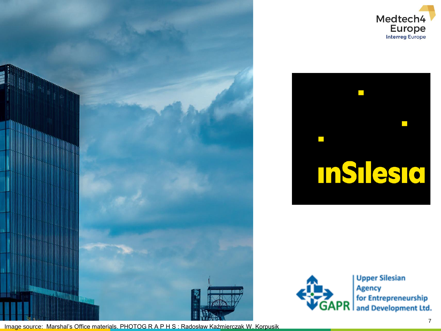







**Upper Silesian** Agency for Entrepreneurship **GAPR** for Entrepreneurship<br>**GAPR** and Development Ltd.

Image source: Marshal's Office materials. PHOTOG R A P H S : Radosław Kaźmierczak W. Korpusik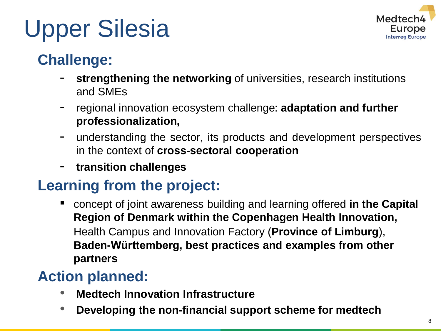

## Upper Silesia

### **Challenge:**

- **strengthening the networking** of universities, research institutions and SMEs
- regional innovation ecosystem challenge: **adaptation and further professionalization,**
- understanding the sector, its products and development perspectives in the context of **cross-sectoral cooperation**
- **transition challenges**

### **Learning from the project:**

■ concept of joint awareness building and learning offered **in the Capital Region of Denmark within the Copenhagen Health Innovation,**  Health Campus and Innovation Factory (**Province of Limburg**), **Baden-Württemberg, best practices and examples from other partners**

### **Action planned:**

- **Medtech Innovation Infrastructure**
- **Developing the non-financial support scheme for medtech**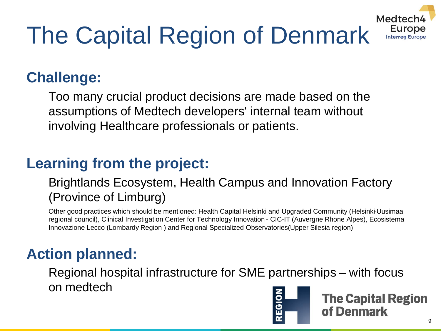

# The Capital Region of Denmark

### **Challenge:**

Too many crucial product decisions are made based on the assumptions of Medtech developers' internal team without involving Healthcare professionals or patients.

### **Learning from the project:**

#### Brightlands Ecosystem, Health Campus and Innovation Factory (Province of Limburg)

Other good practices which should be mentioned: Health Capital Helsinki and Upgraded Community (Helsinki-Uusimaa regional council), Clinical Investigation Center for Technology Innovation - CIC-IT (Auvergne Rhone Alpes), Ecosistema Innovazione Lecco (Lombardy Region ) and Regional Specialized Observatories(Upper Silesia region)

### **Action planned:**

Regional hospital infrastructure for SME partnerships – with focus on medtech



**The Capital Region** of Denmark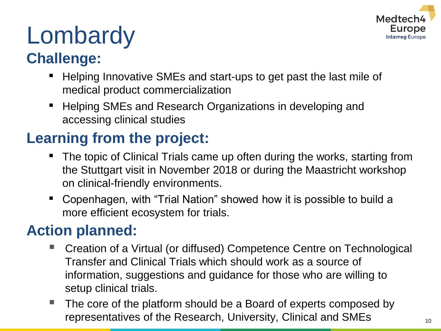

# **Lombardy**

### **Challenge:**

- Helping Innovative SMEs and start-ups to get past the last mile of medical product commercialization
- Helping SMEs and Research Organizations in developing and accessing clinical studies

### **Learning from the project:**

- The topic of Clinical Trials came up often during the works, starting from the Stuttgart visit in November 2018 or during the Maastricht workshop on clinical-friendly environments.
- Copenhagen, with "Trial Nation" showed how it is possible to build a more efficient ecosystem for trials.

#### **Action planned:**

- Creation of a Virtual (or diffused) Competence Centre on Technological Transfer and Clinical Trials which should work as a source of information, suggestions and guidance for those who are willing to setup clinical trials.
- The core of the platform should be a Board of experts composed by representatives of the Research, University, Clinical and SMEs